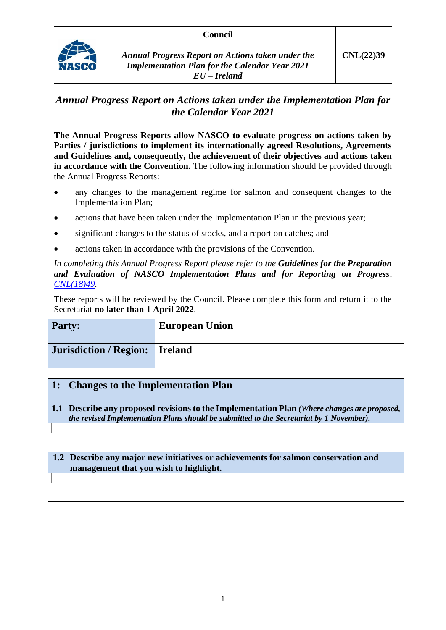#### **Council**



*Annual Progress Report on Actions taken under the Implementation Plan for the Calendar Year 2021 EU – Ireland*

# *Annual Progress Report on Actions taken under the Implementation Plan for the Calendar Year 2021*

**The Annual Progress Reports allow NASCO to evaluate progress on actions taken by Parties / jurisdictions to implement its internationally agreed Resolutions, Agreements and Guidelines and, consequently, the achievement of their objectives and actions taken in accordance with the Convention.** The following information should be provided through the Annual Progress Reports:

- any changes to the management regime for salmon and consequent changes to the Implementation Plan;
- actions that have been taken under the Implementation Plan in the previous year;
- significant changes to the status of stocks, and a report on catches; and
- actions taken in accordance with the provisions of the Convention.

*In completing this Annual Progress Report please refer to the Guidelines for the Preparation and Evaluation of NASCO Implementation Plans and for Reporting on Progress, [CNL\(18\)49.](https://nasco.int/wp-content/uploads/2020/02/CNL1849_Guidelines-for-the-Preparation-and-Evaluation-of-NASCO-Implementation-Plans-and-for-Reporting-on-Progress.pdf)*

These reports will be reviewed by the Council. Please complete this form and return it to the Secretariat **no later than 1 April 2022**.

| <b>Party:</b>                    | <b>European Union</b> |
|----------------------------------|-----------------------|
| Jurisdiction / Region:   Ireland |                       |

### **1: Changes to the Implementation Plan**

**1.1 Describe any proposed revisions to the Implementation Plan** *(Where changes are proposed, the revised Implementation Plans should be submitted to the Secretariat by 1 November).*

#### **1.2 Describe any major new initiatives or achievements for salmon conservation and management that you wish to highlight.**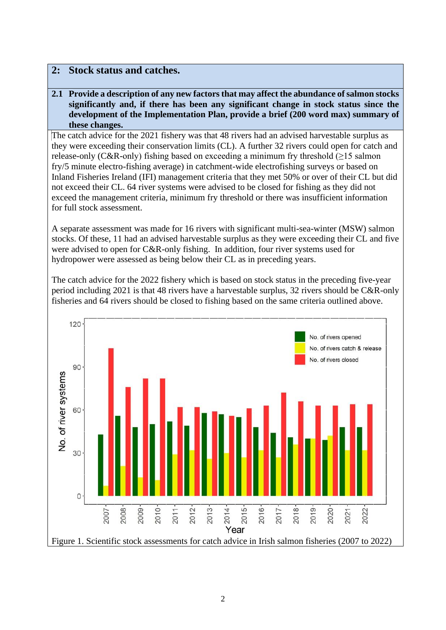### **2: Stock status and catches.**

**2.1 Provide a description of any new factors that may affect the abundance of salmon stocks significantly and, if there has been any significant change in stock status since the development of the Implementation Plan, provide a brief (200 word max) summary of these changes.**

The catch advice for the 2021 fishery was that 48 rivers had an advised harvestable surplus as they were exceeding their conservation limits (CL). A further 32 rivers could open for catch and release-only (C&R-only) fishing based on exceeding a minimum fry threshold  $(\geq)$  salmon fry/5 minute electro-fishing average) in catchment-wide electrofishing surveys or based on Inland Fisheries Ireland (IFI) management criteria that they met 50% or over of their CL but did not exceed their CL. 64 river systems were advised to be closed for fishing as they did not exceed the management criteria, minimum fry threshold or there was insufficient information for full stock assessment.

A separate assessment was made for 16 rivers with significant multi-sea-winter (MSW) salmon stocks. Of these, 11 had an advised harvestable surplus as they were exceeding their CL and five were advised to open for C&R-only fishing. In addition, four river systems used for hydropower were assessed as being below their CL as in preceding years.

The catch advice for the 2022 fishery which is based on stock status in the preceding five-year period including 2021 is that 48 rivers have a harvestable surplus, 32 rivers should be C&R-only fisheries and 64 rivers should be closed to fishing based on the same criteria outlined above.

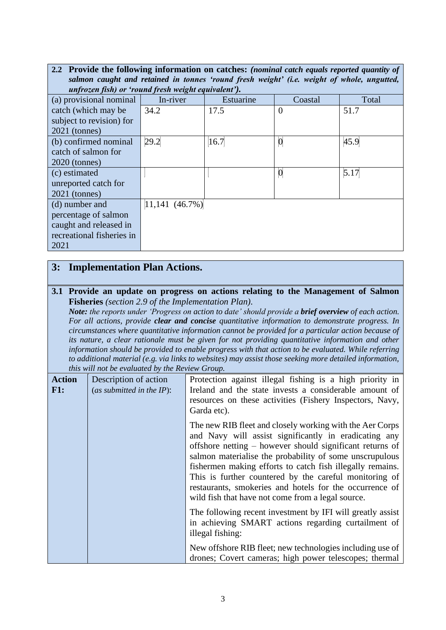| 2.2 Provide the following information on catches: (nominal catch equals reported quantity of |                  |           |                 |       |
|----------------------------------------------------------------------------------------------|------------------|-----------|-----------------|-------|
| salmon caught and retained in tonnes 'round fresh weight' (i.e. weight of whole, ungutted,   |                  |           |                 |       |
| unfrozen fish) or 'round fresh weight equivalent').                                          |                  |           |                 |       |
| (a) provisional nominal                                                                      | In-river         | Estuarine | Coastal         | Total |
| catch (which may be                                                                          | 34.2             | 17.5      | $\overline{0}$  | 51.7  |
| subject to revision) for                                                                     |                  |           |                 |       |
| $2021$ (tonnes)                                                                              |                  |           |                 |       |
| (b) confirmed nominal                                                                        | 29.2             | 16.7      | $\bf{0}$        | 45.9  |
| catch of salmon for                                                                          |                  |           |                 |       |
| $2020$ (tonnes)                                                                              |                  |           |                 |       |
| (c) estimated                                                                                |                  |           | $\vert 0 \vert$ | 5.17  |
| unreported catch for                                                                         |                  |           |                 |       |
| $2021$ (tonnes)                                                                              |                  |           |                 |       |
| (d) number and                                                                               | $11,141$ (46.7%) |           |                 |       |
| percentage of salmon                                                                         |                  |           |                 |       |
| caught and released in                                                                       |                  |           |                 |       |
| recreational fisheries in                                                                    |                  |           |                 |       |
| 2021                                                                                         |                  |           |                 |       |

# **3: Implementation Plan Actions.**

#### **3.1 Provide an update on progress on actions relating to the Management of Salmon Fisheries** *(section 2.9 of the Implementation Plan).*

*Note: the reports under 'Progress on action to date' should provide a brief overview of each action. For all actions, provide clear and concise quantitative information to demonstrate progress. In circumstances where quantitative information cannot be provided for a particular action because of its nature, a clear rationale must be given for not providing quantitative information and other information should be provided to enable progress with that action to be evaluated. While referring to additional material (e.g. via links to websites) may assist those seeking more detailed information, this will not be evaluated by the Review Group.*

|                      | nos mai noi oc crananca o paíc nemen Sromp.           |                                                                                                                                                                                                                                                                                                                                                                                                                                                                                 |  |
|----------------------|-------------------------------------------------------|---------------------------------------------------------------------------------------------------------------------------------------------------------------------------------------------------------------------------------------------------------------------------------------------------------------------------------------------------------------------------------------------------------------------------------------------------------------------------------|--|
| <b>Action</b><br>F1: | Description of action<br>(as submitted in the $IP$ ): | Protection against illegal fishing is a high priority in<br>Ireland and the state invests a considerable amount of<br>resources on these activities (Fishery Inspectors, Navy,<br>Garda etc).                                                                                                                                                                                                                                                                                   |  |
|                      |                                                       | The new RIB fleet and closely working with the Aer Corps<br>and Navy will assist significantly in eradicating any<br>offshore netting – however should significant returns of<br>salmon materialise the probability of some unscrupulous<br>fishermen making efforts to catch fish illegally remains.<br>This is further countered by the careful monitoring of<br>restaurants, smokeries and hotels for the occurrence of<br>wild fish that have not come from a legal source. |  |
|                      |                                                       | The following recent investment by IFI will greatly assist<br>in achieving SMART actions regarding curtailment of<br>illegal fishing:                                                                                                                                                                                                                                                                                                                                           |  |
|                      |                                                       | New offshore RIB fleet; new technologies including use of<br>drones; Covert cameras; high power telescopes; thermal                                                                                                                                                                                                                                                                                                                                                             |  |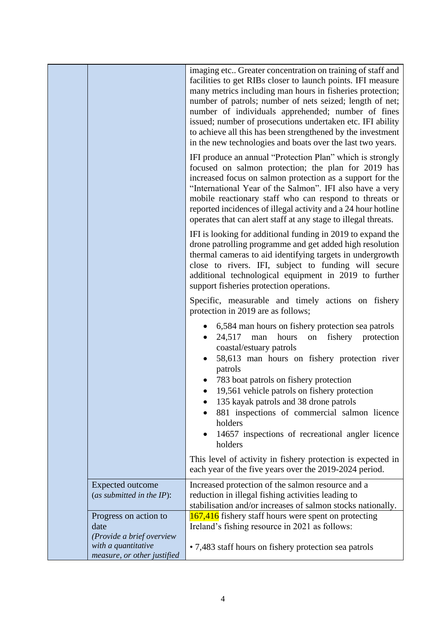| imaging etc Greater concentration on training of staff and<br>facilities to get RIBs closer to launch points. IFI measure<br>many metrics including man hours in fisheries protection;<br>number of patrols; number of nets seized; length of net;<br>number of individuals apprehended; number of fines<br>issued; number of prosecutions undertaken etc. IFI ability<br>to achieve all this has been strengthened by the investment<br>in the new technologies and boats over the last two years. |  |
|-----------------------------------------------------------------------------------------------------------------------------------------------------------------------------------------------------------------------------------------------------------------------------------------------------------------------------------------------------------------------------------------------------------------------------------------------------------------------------------------------------|--|
| IFI produce an annual "Protection Plan" which is strongly<br>focused on salmon protection; the plan for 2019 has<br>increased focus on salmon protection as a support for the<br>"International Year of the Salmon". IFI also have a very<br>mobile reactionary staff who can respond to threats or<br>reported incidences of illegal activity and a 24 hour hotline<br>operates that can alert staff at any stage to illegal threats.                                                              |  |
| IFI is looking for additional funding in 2019 to expand the<br>drone patrolling programme and get added high resolution<br>thermal cameras to aid identifying targets in undergrowth<br>close to rivers. IFI, subject to funding will secure<br>additional technological equipment in 2019 to further<br>support fisheries protection operations.                                                                                                                                                   |  |
| Specific, measurable and timely actions on fishery<br>protection in 2019 are as follows;                                                                                                                                                                                                                                                                                                                                                                                                            |  |
| 6,584 man hours on fishery protection sea patrols<br>fishery protection<br>24,517<br>hours<br>on<br>man<br>coastal/estuary patrols<br>58,613 man hours on fishery protection river<br>patrols<br>783 boat patrols on fishery protection<br>19,561 vehicle patrols on fishery protection<br>135 kayak patrols and 38 drone patrols<br>881 inspections of commercial salmon licence<br>holders<br>14657 inspections of recreational angler licence<br>holders                                         |  |
| This level of activity in fishery protection is expected in<br>each year of the five years over the 2019-2024 period.                                                                                                                                                                                                                                                                                                                                                                               |  |
| Increased protection of the salmon resource and a<br>reduction in illegal fishing activities leading to<br>stabilisation and/or increases of salmon stocks nationally.                                                                                                                                                                                                                                                                                                                              |  |
| 167,416 fishery staff hours were spent on protecting<br>Ireland's fishing resource in 2021 as follows:                                                                                                                                                                                                                                                                                                                                                                                              |  |
| • 7,483 staff hours on fishery protection sea patrols                                                                                                                                                                                                                                                                                                                                                                                                                                               |  |
|                                                                                                                                                                                                                                                                                                                                                                                                                                                                                                     |  |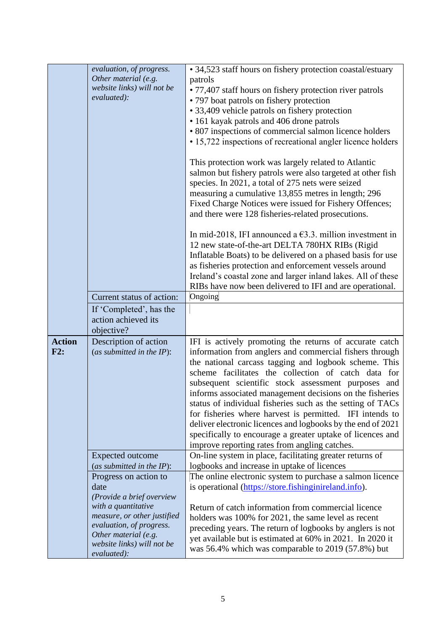|                                                                               | evaluation, of progress.<br>Other material (e.g.<br>website links) will not be<br>evaluated):                                                       | • 34,523 staff hours on fishery protection coastal/estuary<br>patrols<br>• 77,407 staff hours on fishery protection river patrols<br>• 797 boat patrols on fishery protection<br>• 33,409 vehicle patrols on fishery protection<br>• 161 kayak patrols and 406 drone patrols<br>• 807 inspections of commercial salmon licence holders<br>• 15,722 inspections of recreational angler licence holders<br>This protection work was largely related to Atlantic<br>salmon but fishery patrols were also targeted at other fish<br>species. In 2021, a total of 275 nets were seized<br>measuring a cumulative 13,855 metres in length; 296<br>Fixed Charge Notices were issued for Fishery Offences;<br>and there were 128 fisheries-related prosecutions. |  |
|-------------------------------------------------------------------------------|-----------------------------------------------------------------------------------------------------------------------------------------------------|----------------------------------------------------------------------------------------------------------------------------------------------------------------------------------------------------------------------------------------------------------------------------------------------------------------------------------------------------------------------------------------------------------------------------------------------------------------------------------------------------------------------------------------------------------------------------------------------------------------------------------------------------------------------------------------------------------------------------------------------------------|--|
|                                                                               | Current status of action:                                                                                                                           | In mid-2018, IFI announced a $\epsilon$ 3.3. million investment in<br>12 new state-of-the-art DELTA 780HX RIBs (Rigid<br>Inflatable Boats) to be delivered on a phased basis for use<br>as fisheries protection and enforcement vessels around<br>Ireland's coastal zone and larger inland lakes. All of these<br>RIBs have now been delivered to IFI and are operational.<br>Ongoing                                                                                                                                                                                                                                                                                                                                                                    |  |
|                                                                               | If 'Completed', has the<br>action achieved its<br>objective?                                                                                        |                                                                                                                                                                                                                                                                                                                                                                                                                                                                                                                                                                                                                                                                                                                                                          |  |
| <b>Action</b><br>Description of action<br>F2:<br>(as submitted in the $IP$ ): |                                                                                                                                                     | IFI is actively promoting the returns of accurate catch<br>information from anglers and commercial fishers through<br>the national carcass tagging and logbook scheme. This<br>scheme facilitates the collection of catch data for<br>subsequent scientific stock assessment purposes and<br>informs associated management decisions on the fisheries<br>status of individual fisheries such as the setting of TACs<br>for fisheries where harvest is permitted. IFI intends to<br>deliver electronic licences and logbooks by the end of 2021<br>specifically to encourage a greater uptake of licences and<br>improve reporting rates from angling catches.                                                                                            |  |
|                                                                               | Expected outcome                                                                                                                                    | On-line system in place, facilitating greater returns of                                                                                                                                                                                                                                                                                                                                                                                                                                                                                                                                                                                                                                                                                                 |  |
|                                                                               | (as submitted in the $IP$ ):<br>Progress on action to<br>date<br>(Provide a brief overview                                                          | logbooks and increase in uptake of licences<br>The online electronic system to purchase a salmon licence<br>is operational (https://store.fishinginireland.info).                                                                                                                                                                                                                                                                                                                                                                                                                                                                                                                                                                                        |  |
|                                                                               | with a quantitative<br>measure, or other justified<br>evaluation, of progress.<br>Other material (e.g.<br>website links) will not be<br>evaluated): | Return of catch information from commercial licence<br>holders was 100% for 2021, the same level as recent<br>preceding years. The return of logbooks by anglers is not<br>yet available but is estimated at 60% in 2021. In 2020 it<br>was 56.4% which was comparable to 2019 (57.8%) but                                                                                                                                                                                                                                                                                                                                                                                                                                                               |  |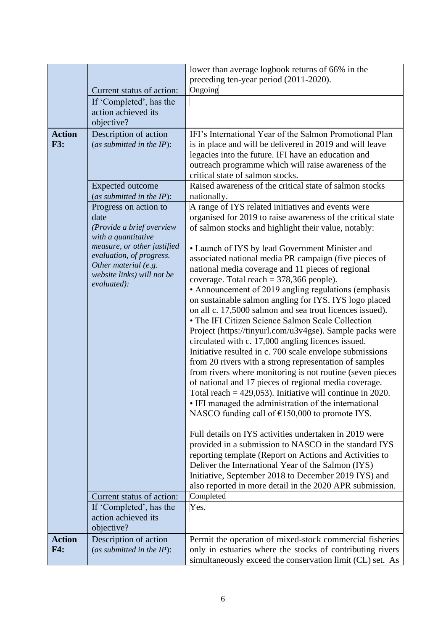|                      |                                                                                                                                                                                                                                                                                                                                                                                                                                                                                                                    | lower than average logbook returns of 66% in the                                                                                                                                                                                                                                                                                                                                                                                                                                                                                                                                                                                                                                                                                                                                                                                                                                                                                                                                                                                                             |
|----------------------|--------------------------------------------------------------------------------------------------------------------------------------------------------------------------------------------------------------------------------------------------------------------------------------------------------------------------------------------------------------------------------------------------------------------------------------------------------------------------------------------------------------------|--------------------------------------------------------------------------------------------------------------------------------------------------------------------------------------------------------------------------------------------------------------------------------------------------------------------------------------------------------------------------------------------------------------------------------------------------------------------------------------------------------------------------------------------------------------------------------------------------------------------------------------------------------------------------------------------------------------------------------------------------------------------------------------------------------------------------------------------------------------------------------------------------------------------------------------------------------------------------------------------------------------------------------------------------------------|
|                      |                                                                                                                                                                                                                                                                                                                                                                                                                                                                                                                    | preceding ten-year period (2011-2020).                                                                                                                                                                                                                                                                                                                                                                                                                                                                                                                                                                                                                                                                                                                                                                                                                                                                                                                                                                                                                       |
|                      | Current status of action:                                                                                                                                                                                                                                                                                                                                                                                                                                                                                          | Ongoing                                                                                                                                                                                                                                                                                                                                                                                                                                                                                                                                                                                                                                                                                                                                                                                                                                                                                                                                                                                                                                                      |
|                      | If 'Completed', has the                                                                                                                                                                                                                                                                                                                                                                                                                                                                                            |                                                                                                                                                                                                                                                                                                                                                                                                                                                                                                                                                                                                                                                                                                                                                                                                                                                                                                                                                                                                                                                              |
|                      | action achieved its                                                                                                                                                                                                                                                                                                                                                                                                                                                                                                |                                                                                                                                                                                                                                                                                                                                                                                                                                                                                                                                                                                                                                                                                                                                                                                                                                                                                                                                                                                                                                                              |
| <b>Action</b>        | objective?                                                                                                                                                                                                                                                                                                                                                                                                                                                                                                         | IFI's International Year of the Salmon Promotional Plan                                                                                                                                                                                                                                                                                                                                                                                                                                                                                                                                                                                                                                                                                                                                                                                                                                                                                                                                                                                                      |
| <b>F3:</b>           | Description of action<br>(as submitted in the $IP$ ):<br><b>Expected outcome</b>                                                                                                                                                                                                                                                                                                                                                                                                                                   | is in place and will be delivered in 2019 and will leave<br>legacies into the future. IFI have an education and<br>outreach programme which will raise awareness of the<br>critical state of salmon stocks.<br>Raised awareness of the critical state of salmon stocks                                                                                                                                                                                                                                                                                                                                                                                                                                                                                                                                                                                                                                                                                                                                                                                       |
|                      | (as submitted in the IP):                                                                                                                                                                                                                                                                                                                                                                                                                                                                                          | nationally.                                                                                                                                                                                                                                                                                                                                                                                                                                                                                                                                                                                                                                                                                                                                                                                                                                                                                                                                                                                                                                                  |
|                      | A range of IYS related initiatives and events were<br>Progress on action to<br>date<br>organised for 2019 to raise awareness of the critical state<br>(Provide a brief overview<br>of salmon stocks and highlight their value, notably:<br>with a quantitative<br>measure, or other justified<br>• Launch of IYS by lead Government Minister and<br>evaluation, of progress.<br>associated national media PR campaign (five pieces of<br>Other material (e.g.<br>national media coverage and 11 pieces of regional |                                                                                                                                                                                                                                                                                                                                                                                                                                                                                                                                                                                                                                                                                                                                                                                                                                                                                                                                                                                                                                                              |
|                      | website links) will not be<br>evaluated):                                                                                                                                                                                                                                                                                                                                                                                                                                                                          | coverage. Total reach = $378,366$ people).<br>• Announcement of 2019 angling regulations (emphasis<br>on sustainable salmon angling for IYS. IYS logo placed<br>on all c. 17,5000 salmon and sea trout licences issued).<br>• The IFI Citizen Science Salmon Scale Collection<br>Project (https://tinyurl.com/u3v4gse). Sample packs were<br>circulated with c. 17,000 angling licences issued.<br>Initiative resulted in c. 700 scale envelope submissions<br>from 20 rivers with a strong representation of samples<br>from rivers where monitoring is not routine (seven pieces<br>of national and 17 pieces of regional media coverage.<br>Total reach = $429,053$ ). Initiative will continue in 2020.<br>• IFI managed the administration of the international<br>NASCO funding call of $£150,000$ to promote IYS.<br>Full details on IYS activities undertaken in 2019 were<br>provided in a submission to NASCO in the standard IYS<br>reporting template (Report on Actions and Activities to<br>Deliver the International Year of the Salmon (IYS) |
|                      |                                                                                                                                                                                                                                                                                                                                                                                                                                                                                                                    | Initiative, September 2018 to December 2019 IYS) and<br>also reported in more detail in the 2020 APR submission.                                                                                                                                                                                                                                                                                                                                                                                                                                                                                                                                                                                                                                                                                                                                                                                                                                                                                                                                             |
|                      | Current status of action:                                                                                                                                                                                                                                                                                                                                                                                                                                                                                          | Completed                                                                                                                                                                                                                                                                                                                                                                                                                                                                                                                                                                                                                                                                                                                                                                                                                                                                                                                                                                                                                                                    |
|                      | If 'Completed', has the<br>action achieved its<br>objective?                                                                                                                                                                                                                                                                                                                                                                                                                                                       | Yes.                                                                                                                                                                                                                                                                                                                                                                                                                                                                                                                                                                                                                                                                                                                                                                                                                                                                                                                                                                                                                                                         |
| <b>Action</b><br>F4: | Description of action<br>(as submitted in the $IP$ ):                                                                                                                                                                                                                                                                                                                                                                                                                                                              | Permit the operation of mixed-stock commercial fisheries<br>only in estuaries where the stocks of contributing rivers<br>simultaneously exceed the conservation limit (CL) set. As                                                                                                                                                                                                                                                                                                                                                                                                                                                                                                                                                                                                                                                                                                                                                                                                                                                                           |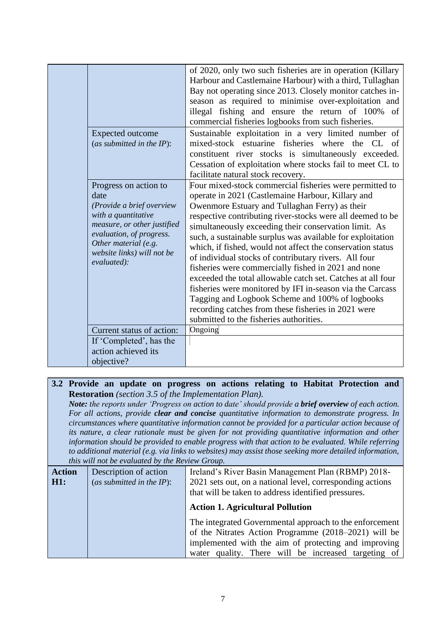|                                                                                                                                                                                                                   | of 2020, only two such fisheries are in operation (Killary<br>Harbour and Castlemaine Harbour) with a third, Tullaghan<br>Bay not operating since 2013. Closely monitor catches in-<br>season as required to minimise over-exploitation and<br>illegal fishing and ensure the return of 100% of<br>commercial fisheries logbooks from such fisheries.                                                                                                                                                                                                                                                                                                                                                                                                                                                              |
|-------------------------------------------------------------------------------------------------------------------------------------------------------------------------------------------------------------------|--------------------------------------------------------------------------------------------------------------------------------------------------------------------------------------------------------------------------------------------------------------------------------------------------------------------------------------------------------------------------------------------------------------------------------------------------------------------------------------------------------------------------------------------------------------------------------------------------------------------------------------------------------------------------------------------------------------------------------------------------------------------------------------------------------------------|
| <b>Expected outcome</b><br>(as submitted in the $IP$ ):                                                                                                                                                           | Sustainable exploitation in a very limited number of<br>mixed-stock estuarine fisheries where the CL<br>of<br>constituent river stocks is simultaneously exceeded.<br>Cessation of exploitation where stocks fail to meet CL to<br>facilitate natural stock recovery.                                                                                                                                                                                                                                                                                                                                                                                                                                                                                                                                              |
| Progress on action to<br>date<br>(Provide a brief overview<br>with a quantitative<br>measure, or other justified<br>evaluation, of progress.<br>Other material (e.g.<br>website links) will not be<br>evaluated): | Four mixed-stock commercial fisheries were permitted to<br>operate in 2021 (Castlemaine Harbour, Killary and<br>Owenmore Estuary and Tullaghan Ferry) as their<br>respective contributing river-stocks were all deemed to be<br>simultaneously exceeding their conservation limit. As<br>such, a sustainable surplus was available for exploitation<br>which, if fished, would not affect the conservation status<br>of individual stocks of contributary rivers. All four<br>fisheries were commercially fished in 2021 and none<br>exceeded the total allowable catch set. Catches at all four<br>fisheries were monitored by IFI in-season via the Carcass<br>Tagging and Logbook Scheme and 100% of logbooks<br>recording catches from these fisheries in 2021 were<br>submitted to the fisheries authorities. |
| Current status of action:                                                                                                                                                                                         | Ongoing                                                                                                                                                                                                                                                                                                                                                                                                                                                                                                                                                                                                                                                                                                                                                                                                            |
| If 'Completed', has the<br>action achieved its                                                                                                                                                                    |                                                                                                                                                                                                                                                                                                                                                                                                                                                                                                                                                                                                                                                                                                                                                                                                                    |
| objective?                                                                                                                                                                                                        |                                                                                                                                                                                                                                                                                                                                                                                                                                                                                                                                                                                                                                                                                                                                                                                                                    |

### **3.2 Provide an update on progress on actions relating to Habitat Protection and Restoration** *(section 3.5 of the Implementation Plan).*

*Note: the reports under 'Progress on action to date' should provide a brief overview of each action. For all actions, provide clear and concise quantitative information to demonstrate progress. In circumstances where quantitative information cannot be provided for a particular action because of its nature, a clear rationale must be given for not providing quantitative information and other information should be provided to enable progress with that action to be evaluated. While referring to additional material (e.g. via links to websites) may assist those seeking more detailed information, this will not be evaluated by the Review Group.*

| <u>thus well not be crudition by the IW flow STOMB</u>                                                                                                                                                                         |  |
|--------------------------------------------------------------------------------------------------------------------------------------------------------------------------------------------------------------------------------|--|
| Ireland's River Basin Management Plan (RBMP) 2018-<br>Description of action                                                                                                                                                    |  |
| 2021 sets out, on a national level, corresponding actions<br>(as submitted in the $IP$ ):<br>that will be taken to address identified pressures.                                                                               |  |
| <b>Action 1. Agricultural Pollution</b>                                                                                                                                                                                        |  |
| The integrated Governmental approach to the enforcement<br>of the Nitrates Action Programme (2018–2021) will be<br>implemented with the aim of protecting and improving<br>water quality. There will be increased targeting of |  |
|                                                                                                                                                                                                                                |  |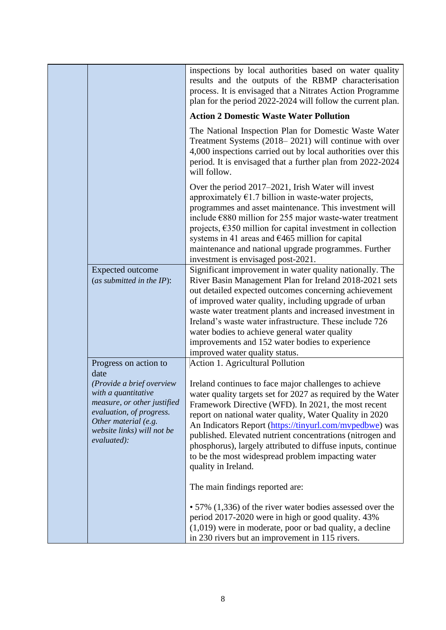|                                                                                                                                                                                                                   | inspections by local authorities based on water quality<br>results and the outputs of the RBMP characterisation<br>process. It is envisaged that a Nitrates Action Programme<br>plan for the period 2022-2024 will follow the current plan.                                                                                                                                                                                                                                                                                                   |
|-------------------------------------------------------------------------------------------------------------------------------------------------------------------------------------------------------------------|-----------------------------------------------------------------------------------------------------------------------------------------------------------------------------------------------------------------------------------------------------------------------------------------------------------------------------------------------------------------------------------------------------------------------------------------------------------------------------------------------------------------------------------------------|
|                                                                                                                                                                                                                   | <b>Action 2 Domestic Waste Water Pollution</b>                                                                                                                                                                                                                                                                                                                                                                                                                                                                                                |
|                                                                                                                                                                                                                   | The National Inspection Plan for Domestic Waste Water<br>Treatment Systems (2018–2021) will continue with over<br>4,000 inspections carried out by local authorities over this<br>period. It is envisaged that a further plan from 2022-2024<br>will follow.                                                                                                                                                                                                                                                                                  |
|                                                                                                                                                                                                                   | Over the period 2017–2021, Irish Water will invest<br>approximately $\epsilon$ 1.7 billion in waste-water projects,<br>programmes and asset maintenance. This investment will<br>include €880 million for 255 major waste-water treatment<br>projects, $\epsilon$ 350 million for capital investment in collection<br>systems in 41 areas and $\epsilon$ 465 million for capital<br>maintenance and national upgrade programmes. Further<br>investment is envisaged post-2021.                                                                |
| <b>Expected outcome</b><br>(as submitted in the $IP$ ):                                                                                                                                                           | Significant improvement in water quality nationally. The<br>River Basin Management Plan for Ireland 2018-2021 sets<br>out detailed expected outcomes concerning achievement<br>of improved water quality, including upgrade of urban<br>waste water treatment plants and increased investment in<br>Ireland's waste water infrastructure. These include 726<br>water bodies to achieve general water quality<br>improvements and 152 water bodies to experience<br>improved water quality status.                                             |
| Progress on action to<br>date<br>(Provide a brief overview<br>with a quantitative<br>measure, or other justified<br>evaluation, of progress.<br>Other material (e.g.<br>website links) will not be<br>evaluated): | Action 1. Agricultural Pollution<br>Ireland continues to face major challenges to achieve<br>water quality targets set for 2027 as required by the Water<br>Framework Directive (WFD). In 2021, the most recent<br>report on national water quality, Water Quality in 2020<br>An Indicators Report (https://tinyurl.com/mvpedbwe) was<br>published. Elevated nutrient concentrations (nitrogen and<br>phosphorus), largely attributed to diffuse inputs, continue<br>to be the most widespread problem impacting water<br>quality in Ireland. |
|                                                                                                                                                                                                                   | The main findings reported are:                                                                                                                                                                                                                                                                                                                                                                                                                                                                                                               |
|                                                                                                                                                                                                                   | • 57% (1,336) of the river water bodies assessed over the<br>period 2017-2020 were in high or good quality. 43%<br>$(1,019)$ were in moderate, poor or bad quality, a decline<br>in 230 rivers but an improvement in 115 rivers.                                                                                                                                                                                                                                                                                                              |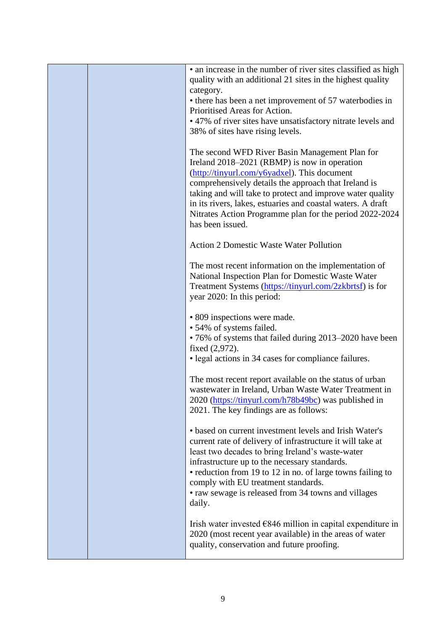|  | • an increase in the number of river sites classified as high<br>quality with an additional 21 sites in the highest quality |
|--|-----------------------------------------------------------------------------------------------------------------------------|
|  | category.                                                                                                                   |
|  | • there has been a net improvement of 57 waterbodies in<br>Prioritised Areas for Action.                                    |
|  | • 47% of river sites have unsatisfactory nitrate levels and                                                                 |
|  | 38% of sites have rising levels.                                                                                            |
|  |                                                                                                                             |
|  | The second WFD River Basin Management Plan for<br>Ireland 2018–2021 (RBMP) is now in operation                              |
|  | (http://tinyurl.com/y6yadxel). This document                                                                                |
|  | comprehensively details the approach that Ireland is                                                                        |
|  | taking and will take to protect and improve water quality                                                                   |
|  | in its rivers, lakes, estuaries and coastal waters. A draft                                                                 |
|  | Nitrates Action Programme plan for the period 2022-2024<br>has been issued.                                                 |
|  |                                                                                                                             |
|  | <b>Action 2 Domestic Waste Water Pollution</b>                                                                              |
|  | The most recent information on the implementation of                                                                        |
|  | National Inspection Plan for Domestic Waste Water                                                                           |
|  | Treatment Systems (https://tinyurl.com/2zkbrtsf) is for                                                                     |
|  | year 2020: In this period:                                                                                                  |
|  | • 809 inspections were made.                                                                                                |
|  | • 54% of systems failed.                                                                                                    |
|  | • 76% of systems that failed during 2013–2020 have been                                                                     |
|  | fixed (2,972).                                                                                                              |
|  | • legal actions in 34 cases for compliance failures.                                                                        |
|  | The most recent report available on the status of urban                                                                     |
|  | wastewater in Ireland, Urban Waste Water Treatment in                                                                       |
|  | 2020 (https://tinyurl.com/h78b49bc) was published in                                                                        |
|  | 2021. The key findings are as follows:                                                                                      |
|  | • based on current investment levels and Irish Water's                                                                      |
|  | current rate of delivery of infrastructure it will take at                                                                  |
|  | least two decades to bring Ireland's waste-water                                                                            |
|  | infrastructure up to the necessary standards.                                                                               |
|  | • reduction from 19 to 12 in no. of large towns failing to                                                                  |
|  | comply with EU treatment standards.                                                                                         |
|  | • raw sewage is released from 34 towns and villages                                                                         |
|  | daily.                                                                                                                      |
|  | Irish water invested $\epsilon$ 846 million in capital expenditure in                                                       |
|  | 2020 (most recent year available) in the areas of water                                                                     |
|  | quality, conservation and future proofing.                                                                                  |
|  |                                                                                                                             |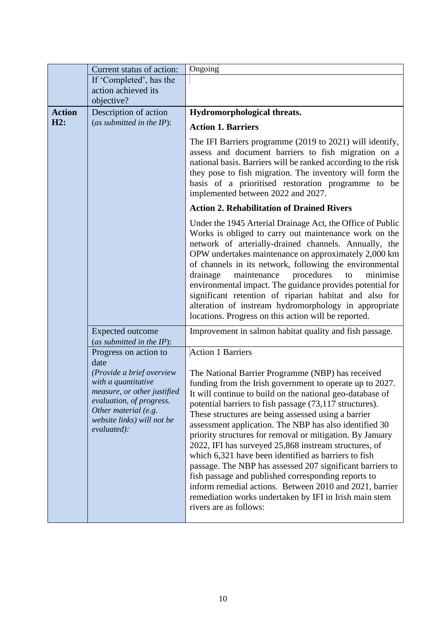|                                                                     | Current status of action:                                                                                                                                                                | Ongoing                                                                                                                                                                                                                                                                                                                                                                                                                                                                                                                                                                                                                                                                                                                                                                                                 |  |
|---------------------------------------------------------------------|------------------------------------------------------------------------------------------------------------------------------------------------------------------------------------------|---------------------------------------------------------------------------------------------------------------------------------------------------------------------------------------------------------------------------------------------------------------------------------------------------------------------------------------------------------------------------------------------------------------------------------------------------------------------------------------------------------------------------------------------------------------------------------------------------------------------------------------------------------------------------------------------------------------------------------------------------------------------------------------------------------|--|
|                                                                     | If 'Completed', has the                                                                                                                                                                  |                                                                                                                                                                                                                                                                                                                                                                                                                                                                                                                                                                                                                                                                                                                                                                                                         |  |
|                                                                     | action achieved its                                                                                                                                                                      |                                                                                                                                                                                                                                                                                                                                                                                                                                                                                                                                                                                                                                                                                                                                                                                                         |  |
|                                                                     | objective?                                                                                                                                                                               |                                                                                                                                                                                                                                                                                                                                                                                                                                                                                                                                                                                                                                                                                                                                                                                                         |  |
| <b>Action</b>                                                       | Description of action                                                                                                                                                                    | Hydromorphological threats.                                                                                                                                                                                                                                                                                                                                                                                                                                                                                                                                                                                                                                                                                                                                                                             |  |
| H2:                                                                 | (as submitted in the $IP$ ):                                                                                                                                                             | <b>Action 1. Barriers</b>                                                                                                                                                                                                                                                                                                                                                                                                                                                                                                                                                                                                                                                                                                                                                                               |  |
|                                                                     |                                                                                                                                                                                          | The IFI Barriers programme (2019 to 2021) will identify,<br>assess and document barriers to fish migration on a<br>national basis. Barriers will be ranked according to the risk<br>they pose to fish migration. The inventory will form the<br>basis of a prioritised restoration programme to be<br>implemented between 2022 and 2027.                                                                                                                                                                                                                                                                                                                                                                                                                                                                |  |
|                                                                     |                                                                                                                                                                                          | <b>Action 2. Rehabilitation of Drained Rivers</b>                                                                                                                                                                                                                                                                                                                                                                                                                                                                                                                                                                                                                                                                                                                                                       |  |
| drainage<br><b>Expected outcome</b><br>(as submitted in the $IP$ ): |                                                                                                                                                                                          | Under the 1945 Arterial Drainage Act, the Office of Public<br>Works is obliged to carry out maintenance work on the<br>network of arterially-drained channels. Annually, the<br>OPW undertakes maintenance on approximately 2,000 km<br>of channels in its network, following the environmental<br>procedures<br>maintenance<br>to<br>minimise<br>environmental impact. The guidance provides potential for<br>significant retention of riparian habitat and also for<br>alteration of instream hydromorphology in appropriate<br>locations. Progress on this action will be reported.                                                                                                                                                                                                                  |  |
|                                                                     |                                                                                                                                                                                          | Improvement in salmon habitat quality and fish passage.                                                                                                                                                                                                                                                                                                                                                                                                                                                                                                                                                                                                                                                                                                                                                 |  |
|                                                                     | Progress on action to                                                                                                                                                                    | <b>Action 1 Barriers</b>                                                                                                                                                                                                                                                                                                                                                                                                                                                                                                                                                                                                                                                                                                                                                                                |  |
|                                                                     | date<br>(Provide a brief overview<br>with a quantitative<br>measure, or other justified<br>evaluation, of progress.<br>Other material (e.g.<br>website links) will not be<br>evaluated): | The National Barrier Programme (NBP) has received<br>funding from the Irish government to operate up to 2027.<br>It will continue to build on the national geo-database of<br>potential barriers to fish passage (73,117 structures).<br>These structures are being assessed using a barrier<br>assessment application. The NBP has also identified 30<br>priority structures for removal or mitigation. By January<br>2022, IFI has surveyed 25,868 instream structures, of<br>which 6,321 have been identified as barriers to fish<br>passage. The NBP has assessed 207 significant barriers to<br>fish passage and published corresponding reports to<br>inform remedial actions. Between 2010 and 2021, barrier<br>remediation works undertaken by IFI in Irish main stem<br>rivers are as follows: |  |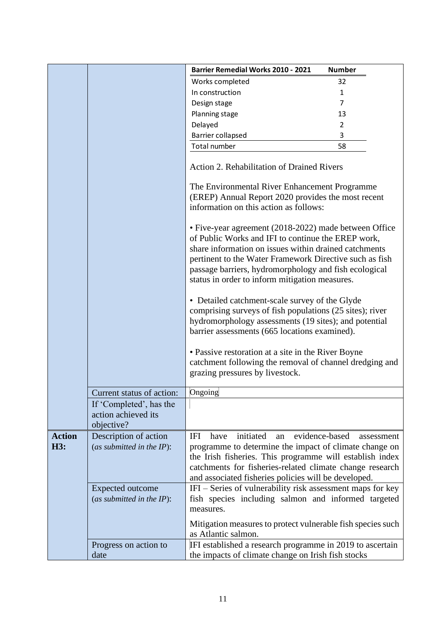|               |                                                              | <b>Barrier Remedial Works 2010 - 2021</b>                                                                                                                                                                                                                                         | <b>Number</b>                |  |
|---------------|--------------------------------------------------------------|-----------------------------------------------------------------------------------------------------------------------------------------------------------------------------------------------------------------------------------------------------------------------------------|------------------------------|--|
|               |                                                              | Works completed                                                                                                                                                                                                                                                                   | 32                           |  |
|               |                                                              | In construction                                                                                                                                                                                                                                                                   | 1                            |  |
|               |                                                              | Design stage                                                                                                                                                                                                                                                                      | 7                            |  |
|               |                                                              | Planning stage                                                                                                                                                                                                                                                                    | 13                           |  |
|               |                                                              | Delayed                                                                                                                                                                                                                                                                           | $\overline{2}$               |  |
|               |                                                              | Barrier collapsed                                                                                                                                                                                                                                                                 | 3                            |  |
|               |                                                              | Total number                                                                                                                                                                                                                                                                      | 58                           |  |
|               |                                                              | Action 2. Rehabilitation of Drained Rivers                                                                                                                                                                                                                                        |                              |  |
|               |                                                              | The Environmental River Enhancement Programme<br>(EREP) Annual Report 2020 provides the most recent<br>information on this action as follows:<br>• Five-year agreement (2018-2022) made between Office                                                                            |                              |  |
|               |                                                              | of Public Works and IFI to continue the EREP work,<br>share information on issues within drained catchments<br>pertinent to the Water Framework Directive such as fish<br>passage barriers, hydromorphology and fish ecological<br>status in order to inform mitigation measures. |                              |  |
|               |                                                              | • Detailed catchment-scale survey of the Glyde<br>comprising surveys of fish populations (25 sites); river<br>hydromorphology assessments (19 sites); and potential<br>barrier assessments (665 locations examined).                                                              |                              |  |
|               |                                                              | • Passive restoration at a site in the River Boyne<br>catchment following the removal of channel dredging and<br>grazing pressures by livestock.                                                                                                                                  |                              |  |
|               | Current status of action:                                    | Ongoing                                                                                                                                                                                                                                                                           |                              |  |
|               | If 'Completed', has the<br>action achieved its<br>objective? |                                                                                                                                                                                                                                                                                   |                              |  |
| <b>Action</b> | Description of action                                        | initiated<br>IFI<br>have<br>an                                                                                                                                                                                                                                                    | evidence-based<br>assessment |  |
| H3:           | (as submitted in the $IP$ ):                                 | programme to determine the impact of climate change on<br>the Irish fisheries. This programme will establish index<br>catchments for fisheries-related climate change research<br>and associated fisheries policies will be developed.                                            |                              |  |
|               | <b>Expected outcome</b><br>(as submitted in the $IP$ ):      | IFI – Series of vulnerability risk assessment maps for key<br>fish species including salmon and informed targeted<br>measures.                                                                                                                                                    |                              |  |
|               |                                                              | Mitigation measures to protect vulnerable fish species such<br>as Atlantic salmon.                                                                                                                                                                                                |                              |  |
|               | Progress on action to                                        | IFI established a research programme in 2019 to ascertain                                                                                                                                                                                                                         |                              |  |
|               | date                                                         | the impacts of climate change on Irish fish stocks                                                                                                                                                                                                                                |                              |  |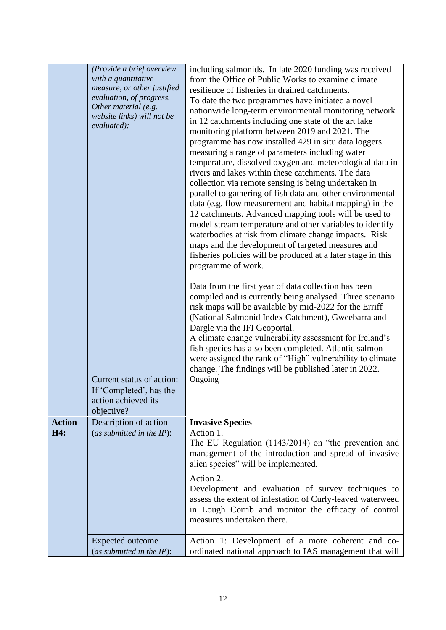|                      | (Provide a brief overview<br>with a quantitative<br>measure, or other justified<br>evaluation, of progress.<br>Other material (e.g.<br>website links) will not be<br>evaluated): | including salmonids. In late 2020 funding was received<br>from the Office of Public Works to examine climate<br>resilience of fisheries in drained catchments.<br>To date the two programmes have initiated a novel<br>nationwide long-term environmental monitoring network<br>in 12 catchments including one state of the art lake<br>monitoring platform between 2019 and 2021. The<br>programme has now installed 429 in situ data loggers                                                                                                                                                                                                                              |
|----------------------|----------------------------------------------------------------------------------------------------------------------------------------------------------------------------------|-----------------------------------------------------------------------------------------------------------------------------------------------------------------------------------------------------------------------------------------------------------------------------------------------------------------------------------------------------------------------------------------------------------------------------------------------------------------------------------------------------------------------------------------------------------------------------------------------------------------------------------------------------------------------------|
|                      |                                                                                                                                                                                  | measuring a range of parameters including water<br>temperature, dissolved oxygen and meteorological data in<br>rivers and lakes within these catchments. The data<br>collection via remote sensing is being undertaken in<br>parallel to gathering of fish data and other environmental<br>data (e.g. flow measurement and habitat mapping) in the<br>12 catchments. Advanced mapping tools will be used to<br>model stream temperature and other variables to identify<br>waterbodies at risk from climate change impacts. Risk<br>maps and the development of targeted measures and<br>fisheries policies will be produced at a later stage in this<br>programme of work. |
|                      |                                                                                                                                                                                  | Data from the first year of data collection has been<br>compiled and is currently being analysed. Three scenario<br>risk maps will be available by mid-2022 for the Erriff<br>(National Salmonid Index Catchment), Gweebarra and<br>Dargle via the IFI Geoportal.<br>A climate change vulnerability assessment for Ireland's<br>fish species has also been completed. Atlantic salmon<br>were assigned the rank of "High" vulnerability to climate<br>change. The findings will be published later in 2022.                                                                                                                                                                 |
|                      | Current status of action:<br>If 'Completed', has the<br>action achieved its<br>objective?                                                                                        | Ongoing                                                                                                                                                                                                                                                                                                                                                                                                                                                                                                                                                                                                                                                                     |
| <b>Action</b><br>H4: | Description of action<br>(as submitted in the $IP$ ):                                                                                                                            | <b>Invasive Species</b><br>Action 1.<br>The EU Regulation $(1143/2014)$ on "the prevention and<br>management of the introduction and spread of invasive<br>alien species" will be implemented.<br>Action 2.<br>Development and evaluation of survey techniques to<br>assess the extent of infestation of Curly-leaved waterweed                                                                                                                                                                                                                                                                                                                                             |
|                      | <b>Expected outcome</b><br>(as submitted in the $IP$ ):                                                                                                                          | in Lough Corrib and monitor the efficacy of control<br>measures undertaken there.<br>Action 1: Development of a more coherent and co-<br>ordinated national approach to IAS management that will                                                                                                                                                                                                                                                                                                                                                                                                                                                                            |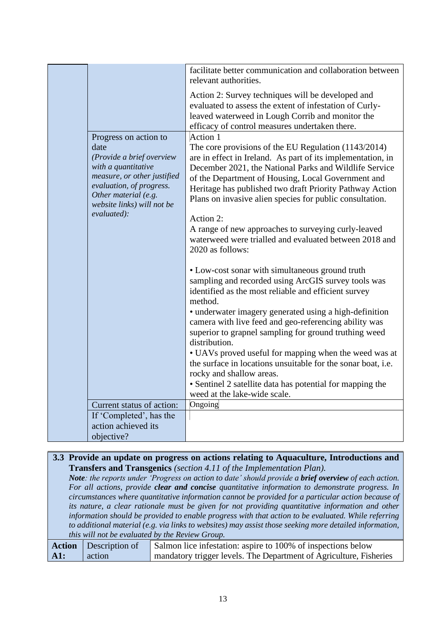|  |                                                                                                                                                                                                                   | facilitate better communication and collaboration between<br>relevant authorities.                                                                                                                                                                                                                                                                                                                                                                                                                                                              |
|--|-------------------------------------------------------------------------------------------------------------------------------------------------------------------------------------------------------------------|-------------------------------------------------------------------------------------------------------------------------------------------------------------------------------------------------------------------------------------------------------------------------------------------------------------------------------------------------------------------------------------------------------------------------------------------------------------------------------------------------------------------------------------------------|
|  |                                                                                                                                                                                                                   | Action 2: Survey techniques will be developed and<br>evaluated to assess the extent of infestation of Curly-<br>leaved waterweed in Lough Corrib and monitor the<br>efficacy of control measures undertaken there.                                                                                                                                                                                                                                                                                                                              |
|  | Progress on action to<br>date<br>(Provide a brief overview<br>with a quantitative<br>measure, or other justified<br>evaluation, of progress.<br>Other material (e.g.<br>website links) will not be<br>evaluated): | Action 1<br>The core provisions of the EU Regulation (1143/2014)<br>are in effect in Ireland. As part of its implementation, in<br>December 2021, the National Parks and Wildlife Service<br>of the Department of Housing, Local Government and<br>Heritage has published two draft Priority Pathway Action<br>Plans on invasive alien species for public consultation.<br>Action 2:<br>A range of new approaches to surveying curly-leaved<br>waterweed were trialled and evaluated between 2018 and                                           |
|  |                                                                                                                                                                                                                   | 2020 as follows:<br>• Low-cost sonar with simultaneous ground truth<br>sampling and recorded using ArcGIS survey tools was<br>identified as the most reliable and efficient survey<br>method.<br>• underwater imagery generated using a high-definition<br>camera with live feed and geo-referencing ability was<br>superior to grapnel sampling for ground truthing weed<br>distribution.<br>• UAVs proved useful for mapping when the weed was at<br>the surface in locations unsuitable for the sonar boat, i.e.<br>rocky and shallow areas. |
|  |                                                                                                                                                                                                                   | • Sentinel 2 satellite data has potential for mapping the<br>weed at the lake-wide scale.                                                                                                                                                                                                                                                                                                                                                                                                                                                       |
|  | Current status of action:                                                                                                                                                                                         | Ongoing                                                                                                                                                                                                                                                                                                                                                                                                                                                                                                                                         |
|  | If 'Completed', has the                                                                                                                                                                                           |                                                                                                                                                                                                                                                                                                                                                                                                                                                                                                                                                 |
|  | action achieved its                                                                                                                                                                                               |                                                                                                                                                                                                                                                                                                                                                                                                                                                                                                                                                 |
|  | objective?                                                                                                                                                                                                        |                                                                                                                                                                                                                                                                                                                                                                                                                                                                                                                                                 |
|  |                                                                                                                                                                                                                   |                                                                                                                                                                                                                                                                                                                                                                                                                                                                                                                                                 |

|                                                                                                         | 3.3 Provide an update on progress on actions relating to Aquaculture, Introductions and                |                                                                    |  |
|---------------------------------------------------------------------------------------------------------|--------------------------------------------------------------------------------------------------------|--------------------------------------------------------------------|--|
|                                                                                                         | <b>Transfers and Transgenics</b> (section 4.11 of the Implementation Plan).                            |                                                                    |  |
|                                                                                                         | Note: the reports under 'Progress on action to date' should provide a brief overview of each action.   |                                                                    |  |
|                                                                                                         | For all actions, provide <b>clear and concise</b> quantitative information to demonstrate progress. In |                                                                    |  |
|                                                                                                         | circumstances where quantitative information cannot be provided for a particular action because of     |                                                                    |  |
|                                                                                                         | its nature, a clear rationale must be given for not providing quantitative information and other       |                                                                    |  |
|                                                                                                         | information should be provided to enable progress with that action to be evaluated. While referring    |                                                                    |  |
| to additional material (e.g. via links to websites) may assist those seeking more detailed information, |                                                                                                        |                                                                    |  |
| this will not be evaluated by the Review Group.                                                         |                                                                                                        |                                                                    |  |
| <b>Action</b>                                                                                           | Description of                                                                                         | Salmon lice infestation: aspire to 100% of inspections below       |  |
| A1:                                                                                                     | action                                                                                                 | mandatory trigger levels. The Department of Agriculture, Fisheries |  |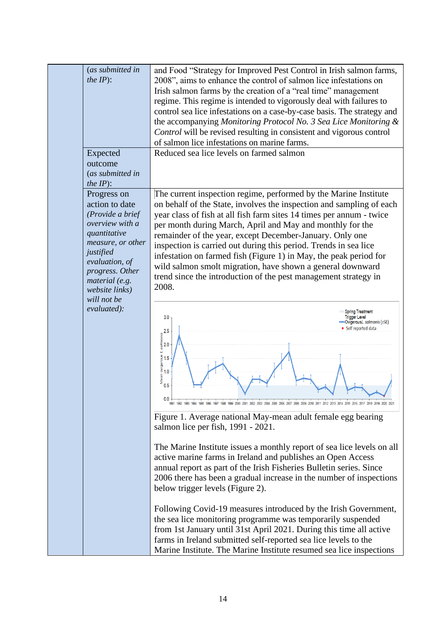| (as submitted in<br>the $IP$ :<br>Expected<br>outcome<br>(as submitted in<br>the $IP$ :                                                                                                                        | and Food "Strategy for Improved Pest Control in Irish salmon farms,<br>2008", aims to enhance the control of salmon lice infestations on<br>Irish salmon farms by the creation of a "real time" management<br>regime. This regime is intended to vigorously deal with failures to<br>control sea lice infestations on a case-by-case basis. The strategy and<br>the accompanying Monitoring Protocol No. 3 Sea Lice Monitoring &<br>Control will be revised resulting in consistent and vigorous control<br>of salmon lice infestations on marine farms.<br>Reduced sea lice levels on farmed salmon                                                                       |
|----------------------------------------------------------------------------------------------------------------------------------------------------------------------------------------------------------------|----------------------------------------------------------------------------------------------------------------------------------------------------------------------------------------------------------------------------------------------------------------------------------------------------------------------------------------------------------------------------------------------------------------------------------------------------------------------------------------------------------------------------------------------------------------------------------------------------------------------------------------------------------------------------|
| Progress on<br>action to date<br>(Provide a brief<br>overview with a<br>quantitative<br>measure, or other<br>justified<br>evaluation, of<br>progress. Other<br>material (e.g.<br>website links)<br>will not be | The current inspection regime, performed by the Marine Institute<br>on behalf of the State, involves the inspection and sampling of each<br>year class of fish at all fish farm sites 14 times per annum - twice<br>per month during March, April and May and monthly for the<br>remainder of the year, except December-January. Only one<br>inspection is carried out during this period. Trends in sea lice<br>infestation on farmed fish (Figure 1) in May, the peak period for<br>wild salmon smolt migration, have shown a general downward<br>trend since the introduction of the pest management strategy in<br>2008.                                               |
| evaluated):                                                                                                                                                                                                    | <b>Spring Treatment</b><br><b>Trigger Level</b><br>3.0<br>-OvigerousL. salmonis (±SE)<br>◆ Self reported data<br>2.5<br>amples in the sensing spins 1.5<br>amples in the 1.0<br>amples in the 1.0<br>amples in the 1.0<br>0.5<br>Figure 1. Average national May-mean adult female egg bearing<br>salmon lice per fish, 1991 - 2021.                                                                                                                                                                                                                                                                                                                                        |
|                                                                                                                                                                                                                | The Marine Institute issues a monthly report of sea lice levels on all<br>active marine farms in Ireland and publishes an Open Access<br>annual report as part of the Irish Fisheries Bulletin series. Since<br>2006 there has been a gradual increase in the number of inspections<br>below trigger levels (Figure 2).<br>Following Covid-19 measures introduced by the Irish Government,<br>the sea lice monitoring programme was temporarily suspended<br>from 1st January until 31st April 2021. During this time all active<br>farms in Ireland submitted self-reported sea lice levels to the<br>Marine Institute. The Marine Institute resumed sea lice inspections |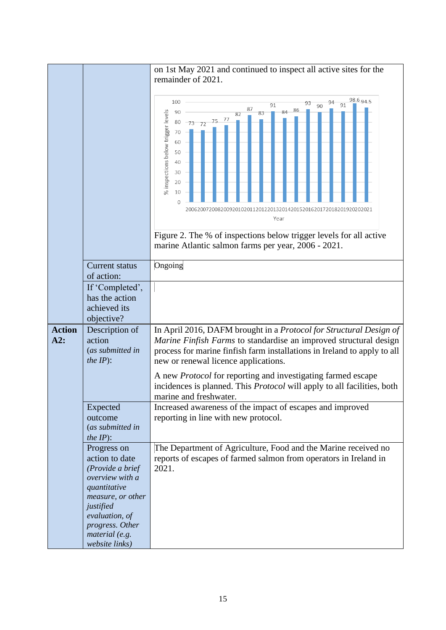|                      |                                                                                                                                                             | on 1st May 2021 and continued to inspect all active sites for the                                                                                                                                                                                                                                                                                                             |
|----------------------|-------------------------------------------------------------------------------------------------------------------------------------------------------------|-------------------------------------------------------------------------------------------------------------------------------------------------------------------------------------------------------------------------------------------------------------------------------------------------------------------------------------------------------------------------------|
|                      |                                                                                                                                                             | remainder of 2021.                                                                                                                                                                                                                                                                                                                                                            |
|                      |                                                                                                                                                             | 98.6 94.5<br>100<br>94<br>93<br>91<br>90<br>91<br>87<br>86<br>84<br>% inspections below trigger levels<br>90<br>82<br>$-73$ $72$ $75$ $77$<br>80<br>70<br>60<br>50<br>40<br>30<br>20<br>10<br>$\Omega$<br>.42015201620172018201920202021<br>Year<br>Figure 2. The % of inspections below trigger levels for all active<br>marine Atlantic salmon farms per year, 2006 - 2021. |
|                      | <b>Current status</b>                                                                                                                                       | Ongoing                                                                                                                                                                                                                                                                                                                                                                       |
|                      | of action:                                                                                                                                                  |                                                                                                                                                                                                                                                                                                                                                                               |
|                      | If 'Completed',<br>has the action<br>achieved its<br>objective?                                                                                             |                                                                                                                                                                                                                                                                                                                                                                               |
| <b>Action</b><br>A2: | Description of<br>action<br>(as submitted in<br>the $IP$ :                                                                                                  | In April 2016, DAFM brought in a Protocol for Structural Design of<br>Marine Finfish Farms to standardise an improved structural design<br>process for marine finfish farm installations in Ireland to apply to all<br>new or renewal licence applications.                                                                                                                   |
|                      |                                                                                                                                                             | A new <i>Protocol</i> for reporting and investigating farmed escape<br>incidences is planned. This <i>Protocol</i> will apply to all facilities, both<br>marine and freshwater.                                                                                                                                                                                               |
|                      | Expected<br>outcome<br>(as submitted in<br><i>the IP</i> $)$ :                                                                                              | Increased awareness of the impact of escapes and improved<br>reporting in line with new protocol.                                                                                                                                                                                                                                                                             |
|                      | Progress on<br>action to date<br>(Provide a brief<br>overview with a<br>quantitative<br>measure, or other<br>justified<br>evaluation, of<br>progress. Other | The Department of Agriculture, Food and the Marine received no<br>reports of escapes of farmed salmon from operators in Ireland in<br>2021.                                                                                                                                                                                                                                   |
|                      | material (e.g.<br>website links)                                                                                                                            |                                                                                                                                                                                                                                                                                                                                                                               |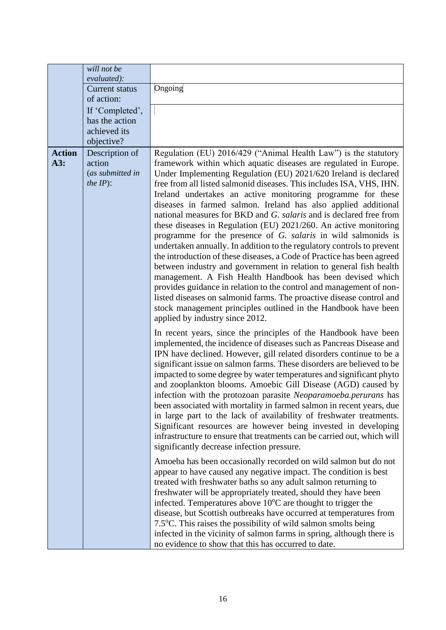|                      | will not be<br>evaluated):                                          |                                                                                                                                                                                                                                                                                                                                                                                                                                                                                                                                                                                                                                                                                                                                                                                                                                                                                                                                                                                          |
|----------------------|---------------------------------------------------------------------|------------------------------------------------------------------------------------------------------------------------------------------------------------------------------------------------------------------------------------------------------------------------------------------------------------------------------------------------------------------------------------------------------------------------------------------------------------------------------------------------------------------------------------------------------------------------------------------------------------------------------------------------------------------------------------------------------------------------------------------------------------------------------------------------------------------------------------------------------------------------------------------------------------------------------------------------------------------------------------------|
|                      | <b>Current status</b>                                               | Ongoing                                                                                                                                                                                                                                                                                                                                                                                                                                                                                                                                                                                                                                                                                                                                                                                                                                                                                                                                                                                  |
|                      | of action:                                                          |                                                                                                                                                                                                                                                                                                                                                                                                                                                                                                                                                                                                                                                                                                                                                                                                                                                                                                                                                                                          |
|                      | If 'Completed',                                                     |                                                                                                                                                                                                                                                                                                                                                                                                                                                                                                                                                                                                                                                                                                                                                                                                                                                                                                                                                                                          |
|                      | has the action                                                      |                                                                                                                                                                                                                                                                                                                                                                                                                                                                                                                                                                                                                                                                                                                                                                                                                                                                                                                                                                                          |
|                      | achieved its                                                        |                                                                                                                                                                                                                                                                                                                                                                                                                                                                                                                                                                                                                                                                                                                                                                                                                                                                                                                                                                                          |
|                      | objective?                                                          |                                                                                                                                                                                                                                                                                                                                                                                                                                                                                                                                                                                                                                                                                                                                                                                                                                                                                                                                                                                          |
| <b>Action</b><br>A3: | Description of<br>action<br>(as submitted in<br><i>the IP</i> $)$ : | Regulation (EU) 2016/429 ("Animal Health Law") is the statutory<br>framework within which aquatic diseases are regulated in Europe.<br>Under Implementing Regulation (EU) 2021/620 Ireland is declared<br>free from all listed salmonid diseases. This includes ISA, VHS, IHN.<br>Ireland undertakes an active monitoring programme for these<br>diseases in farmed salmon. Ireland has also applied additional<br>national measures for BKD and G. salaris and is declared free from<br>these diseases in Regulation (EU) 2021/260. An active monitoring<br>programme for the presence of G. salaris in wild salmonids is<br>undertaken annually. In addition to the regulatory controls to prevent<br>the introduction of these diseases, a Code of Practice has been agreed<br>between industry and government in relation to general fish health<br>management. A Fish Health Handbook has been devised which<br>provides guidance in relation to the control and management of non- |
|                      |                                                                     | listed diseases on salmonid farms. The proactive disease control and<br>stock management principles outlined in the Handbook have been<br>applied by industry since 2012.                                                                                                                                                                                                                                                                                                                                                                                                                                                                                                                                                                                                                                                                                                                                                                                                                |
|                      |                                                                     | In recent years, since the principles of the Handbook have been<br>implemented, the incidence of diseases such as Pancreas Disease and<br>IPN have declined. However, gill related disorders continue to be a<br>significant issue on salmon farms. These disorders are believed to be<br>impacted to some degree by water temperatures and significant phyto<br>and zooplankton blooms. Amoebic Gill Disease (AGD) caused by<br>infection with the protozoan parasite Neoparamoeba.perurans has<br>been associated with mortality in farmed salmon in recent years, due<br>in large part to the lack of availability of freshwater treatments.<br>Significant resources are however being invested in developing<br>infrastructure to ensure that treatments can be carried out, which will<br>significantly decrease infection pressure.                                                                                                                                               |
|                      |                                                                     | Amoeba has been occasionally recorded on wild salmon but do not<br>appear to have caused any negative impact. The condition is best<br>treated with freshwater baths so any adult salmon returning to<br>freshwater will be appropriately treated, should they have been<br>infected. Temperatures above $10^{\circ}$ C are thought to trigger the<br>disease, but Scottish outbreaks have occurred at temperatures from<br>7.5 $\degree$ C. This raises the possibility of wild salmon smolts being<br>infected in the vicinity of salmon farms in spring, although there is<br>no evidence to show that this has occurred to date.                                                                                                                                                                                                                                                                                                                                                     |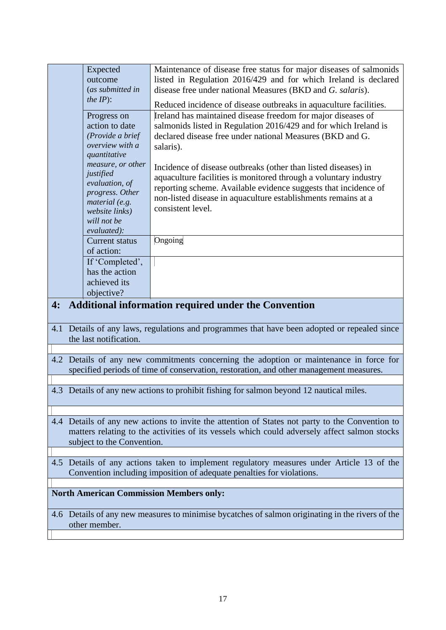|                                                                       | Expected                                                                                  | Maintenance of disease free status for major diseases of salmonids                                                                  |  |
|-----------------------------------------------------------------------|-------------------------------------------------------------------------------------------|-------------------------------------------------------------------------------------------------------------------------------------|--|
|                                                                       | outcome                                                                                   | listed in Regulation 2016/429 and for which Ireland is declared                                                                     |  |
|                                                                       | (as submitted in<br>the $IP$ :                                                            | disease free under national Measures (BKD and G. salaris).                                                                          |  |
|                                                                       |                                                                                           | Reduced incidence of disease outbreaks in aquaculture facilities.                                                                   |  |
|                                                                       | Progress on                                                                               | Ireland has maintained disease freedom for major diseases of                                                                        |  |
|                                                                       | action to date                                                                            | salmonids listed in Regulation 2016/429 and for which Ireland is                                                                    |  |
|                                                                       | (Provide a brief                                                                          | declared disease free under national Measures (BKD and G.                                                                           |  |
|                                                                       | overview with a<br>quantitative                                                           | salaris).                                                                                                                           |  |
|                                                                       | measure, or other                                                                         |                                                                                                                                     |  |
|                                                                       | justified                                                                                 | Incidence of disease outbreaks (other than listed diseases) in                                                                      |  |
|                                                                       | evaluation, of                                                                            | aquaculture facilities is monitored through a voluntary industry<br>reporting scheme. Available evidence suggests that incidence of |  |
|                                                                       | progress. Other                                                                           | non-listed disease in aquaculture establishments remains at a                                                                       |  |
|                                                                       | material (e.g.                                                                            | consistent level.                                                                                                                   |  |
|                                                                       | website links)<br>will not be                                                             |                                                                                                                                     |  |
|                                                                       | evaluated):                                                                               |                                                                                                                                     |  |
|                                                                       | <b>Current status</b>                                                                     | Ongoing                                                                                                                             |  |
|                                                                       | of action:                                                                                |                                                                                                                                     |  |
|                                                                       | If 'Completed',                                                                           |                                                                                                                                     |  |
|                                                                       | has the action                                                                            |                                                                                                                                     |  |
|                                                                       | achieved its                                                                              |                                                                                                                                     |  |
|                                                                       | objective?                                                                                |                                                                                                                                     |  |
| 4:                                                                    |                                                                                           | <b>Additional information required under the Convention</b>                                                                         |  |
|                                                                       |                                                                                           | 4.1 Details of any laws, regulations and programmes that have been adopted or repealed since                                        |  |
|                                                                       | the last notification.                                                                    |                                                                                                                                     |  |
|                                                                       |                                                                                           |                                                                                                                                     |  |
|                                                                       |                                                                                           | 4.2 Details of any new commitments concerning the adoption or maintenance in force for                                              |  |
|                                                                       |                                                                                           | specified periods of time of conservation, restoration, and other management measures.                                              |  |
|                                                                       |                                                                                           |                                                                                                                                     |  |
|                                                                       |                                                                                           | 4.3 Details of any new actions to prohibit fishing for salmon beyond 12 nautical miles.                                             |  |
|                                                                       |                                                                                           |                                                                                                                                     |  |
|                                                                       |                                                                                           | 4.4 Details of any new actions to invite the attention of States not party to the Convention to                                     |  |
|                                                                       |                                                                                           | matters relating to the activities of its vessels which could adversely affect salmon stocks                                        |  |
|                                                                       | subject to the Convention.                                                                |                                                                                                                                     |  |
|                                                                       |                                                                                           |                                                                                                                                     |  |
|                                                                       | 4.5 Details of any actions taken to implement regulatory measures under Article 13 of the |                                                                                                                                     |  |
| Convention including imposition of adequate penalties for violations. |                                                                                           |                                                                                                                                     |  |
|                                                                       |                                                                                           |                                                                                                                                     |  |
|                                                                       | <b>North American Commission Members only:</b>                                            |                                                                                                                                     |  |
|                                                                       |                                                                                           | 4.6 Details of any new measures to minimise by catches of salmon originating in the rivers of the                                   |  |
|                                                                       | other member.                                                                             |                                                                                                                                     |  |
|                                                                       |                                                                                           |                                                                                                                                     |  |
|                                                                       |                                                                                           |                                                                                                                                     |  |
|                                                                       |                                                                                           |                                                                                                                                     |  |